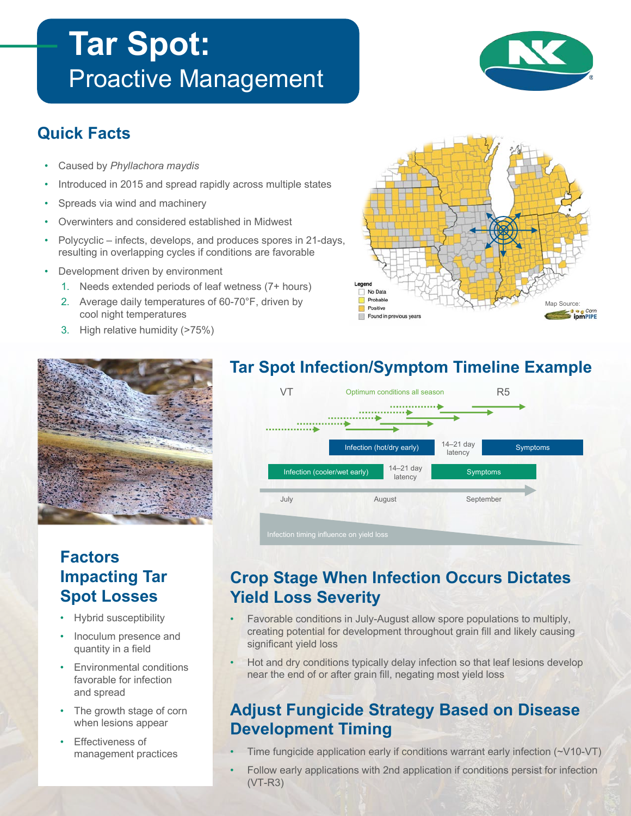# **Tar Spot:**  Proactive Management



# **Quick Facts**

- Caused by *Phyllachora maydis*
- Introduced in 2015 and spread rapidly across multiple states
- Spreads via wind and machinery
- Overwinters and considered established in Midwest
- Polycyclic infects, develops, and produces spores in 21-days, resulting in overlapping cycles if conditions are favorable
- Development driven by environment
	- 1. Needs extended periods of leaf wetness (7+ hours)
	- 2. Average daily temperatures of 60-70°F, driven by cool night temperatures
	- 3. High relative humidity (>75%)



# **Factors Impacting Tar Spot Losses**

- Hybrid susceptibility
- Inoculum presence and quantity in a field
- Environmental conditions favorable for infection and spread
- The growth stage of corn when lesions appear
- **Effectiveness of** management practices



# Infection (cooler/wet early)  $\frac{14-21}{14}$  and  $\frac{14}{14}$  Symptoms Infection (hot/dry early)  $14-21$  day Symptoms July August September 14–21 day latency 14–21 day latency VT Optimum conditions all season R5

# **Crop Stage When Infection Occurs Dictates Yield Loss Severity**

- Favorable conditions in July-August allow spore populations to multiply, creating potential for development throughout grain fill and likely causing significant yield loss
- Hot and dry conditions typically delay infection so that leaf lesions develop near the end of or after grain fill, negating most yield loss

# **Adjust Fungicide Strategy Based on Disease Development Timing**

- Time fungicide application early if conditions warrant early infection  $(\sim\!\!V10\text{-}VT)$
- Follow early applications with 2nd application if conditions persist for infection (VT-R3)

### **Tar Spot Infection/Symptom Timeline Example**